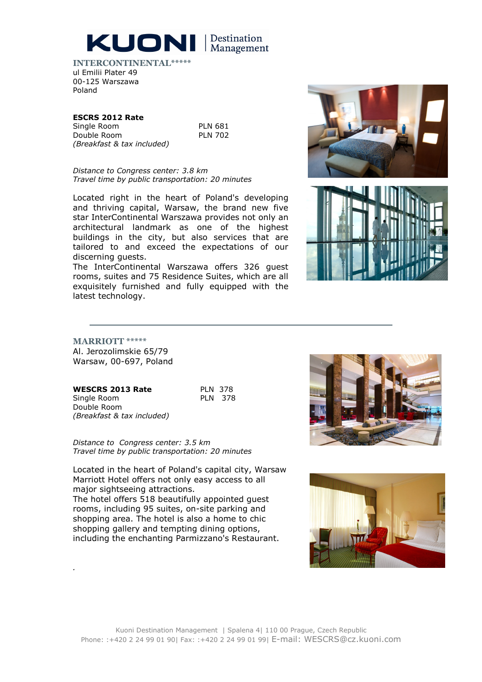

INTERCONTINENTAL\*\*\*\*\* ul Emilii Plater 49 00-125 Warszawa Poland

## ESCRS 2012 Rate

Single Room Double Room (Breakfast & tax included) PLN 681 PLN 702

Distance to Congress center: 3.8 km Travel time by public transportation: 20 minutes

Located right in the heart of Poland's developing and thriving capital, Warsaw, the brand new five star InterContinental Warszawa provides not only an architectural landmark as one of the highest buildings in the city, but also services that are tailored to and exceed the expectations of our discerning guests.

The InterContinental Warszawa offers 326 guest rooms, suites and 75 Residence Suites, which are all exquisitely furnished and fully equipped with the latest technology.





.

Al. Jerozolimskie 65/79 Warsaw, 00-697, Poland

| <b>WESCRS 2013 Rate</b>    | PIN 378        |  |
|----------------------------|----------------|--|
| Single Room                | <b>PLN 378</b> |  |
| Double Room                |                |  |
| (Breakfast & tax included) |                |  |

Distance to Congress center: 3.5 km Travel time by public transportation: 20 minutes

Located in the heart of Poland's capital city, Warsaw Marriott Hotel offers not only easy access to all major sightseeing attractions.

The hotel offers 518 beautifully appointed guest rooms, including 95 suites, on-site parking and shopping area. The hotel is also a home to chic shopping gallery and tempting dining options, including the enchanting Parmizzano's Restaurant.





378